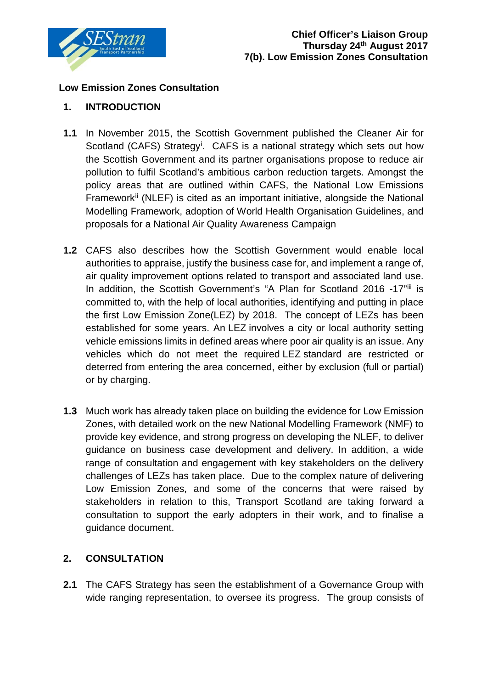

## **Low Emission Zones Consultation**

## **1. INTRODUCTION**

- **1.1** In November 2015, the Scottish Government published the Cleaner Air for Scotland (CAFS) Strategy<sup>[i](#page-1-0)</sup>. CAFS is a national strategy which sets out how the Scottish Government and its partner organisations propose to reduce air pollution to fulfil Scotland's ambitious carbon reduction targets. Amongst the policy areas that are outlined within CAFS, the National Low Emissions Framework[ii](#page-1-1) (NLEF) is cited as an important initiative, alongside the National Modelling Framework, adoption of World Health Organisation Guidelines, and proposals for a National Air Quality Awareness Campaign
- **1.2** CAFS also describes how the Scottish Government would enable local authorities to appraise, justify the business case for, and implement a range of, air quality improvement options related to transport and associated land use. In addition, the Scottish Government's "A Plan for Scotland 2016 -17"[iii](#page-1-2) is committed to, with the help of local authorities, identifying and putting in place the first Low Emission Zone(LEZ) by 2018. The concept of LEZs has been established for some years. An LEZ involves a city or local authority setting vehicle emissions limits in defined areas where poor air quality is an issue. Any vehicles which do not meet the required LEZ standard are restricted or deterred from entering the area concerned, either by exclusion (full or partial) or by charging.
- **1.3** Much work has already taken place on building the evidence for Low Emission Zones, with detailed work on the new National Modelling Framework (NMF) to provide key evidence, and strong progress on developing the NLEF, to deliver guidance on business case development and delivery. In addition, a wide range of consultation and engagement with key stakeholders on the delivery challenges of LEZs has taken place. Due to the complex nature of delivering Low Emission Zones, and some of the concerns that were raised by stakeholders in relation to this, Transport Scotland are taking forward a consultation to support the early adopters in their work, and to finalise a guidance document.

## **2. CONSULTATION**

**2.1** The CAFS Strategy has seen the establishment of a Governance Group with wide ranging representation, to oversee its progress. The group consists of